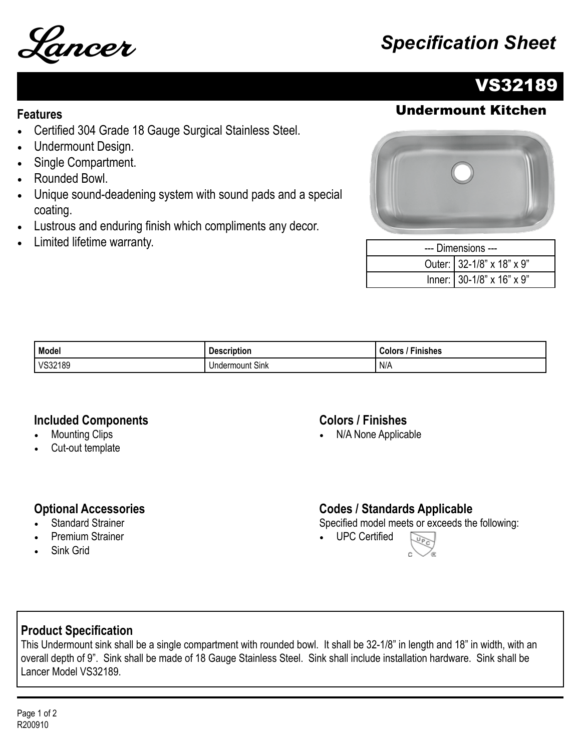

# Lancer *Specification Sheet*

# VS32189

## **Features** Undermount Kitchen

- Certified 304 Grade 18 Gauge Surgical Stainless Steel.
- Undermount Design.
- Single Compartment.
- Rounded Bowl.
- Unique sound-deadening system with sound pads and a special coating.
- Lustrous and enduring finish which compliments any decor.
- Limited lifetime warranty.



| --- Dimensions --- |                           |  |
|--------------------|---------------------------|--|
|                    | Outer: 32-1/8" x 18" x 9" |  |
|                    | Inner: 30-1/8" x 16" x 9" |  |

| Model   | <b>Description</b>    | <b>Colors</b><br>Finishes |
|---------|-----------------------|---------------------------|
| VS32189 | r.<br>Undermount Sink | N/A                       |

#### **Included Components**

- **Mounting Clips**
- Cut-out template

#### **Colors / Finishes**

• N/A None Applicable

#### **Optional Accessories**

- **Standard Strainer**
- Premium Strainer
- Sink Grid

### **Codes / Standards Applicable**

Specified model meets or exceeds the following:

• UPC Certified



### **Product Specification**

This Undermount sink shall be a single compartment with rounded bowl. It shall be 32-1/8" in length and 18" in width, with an overall depth of 9". Sink shall be made of 18 Gauge Stainless Steel. Sink shall include installation hardware. Sink shall be Lancer Model VS32189.